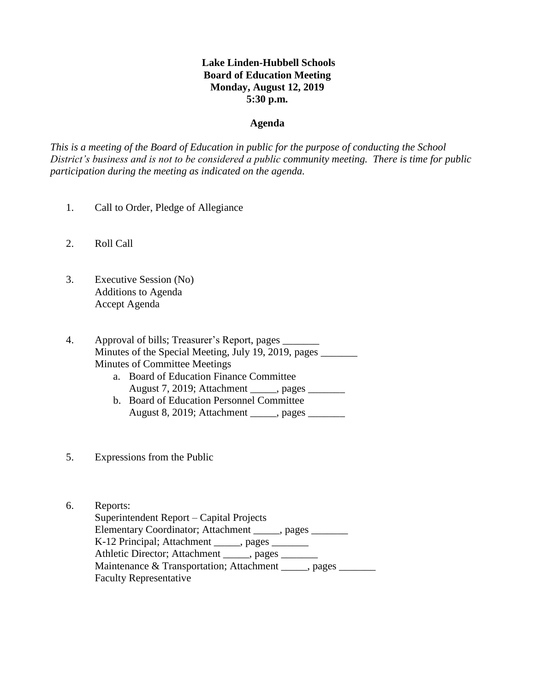# **Lake Linden-Hubbell Schools Board of Education Meeting Monday, August 12, 2019 5:30 p.m.**

## **Agenda**

*This is a meeting of the Board of Education in public for the purpose of conducting the School District's business and is not to be considered a public community meeting. There is time for public participation during the meeting as indicated on the agenda.*

- 1. Call to Order, Pledge of Allegiance
- 2. Roll Call
- 3. Executive Session (No) Additions to Agenda Accept Agenda

4. Approval of bills; Treasurer's Report, pages \_\_\_\_\_\_\_ Minutes of the Special Meeting, July 19, 2019, pages Minutes of Committee Meetings

- a. Board of Education Finance Committee August 7, 2019; Attachment \_\_\_\_\_, pages \_\_\_\_\_\_\_
- b. Board of Education Personnel Committee August 8, 2019; Attachment \_\_\_\_\_, pages \_\_\_\_\_\_\_
- 5. Expressions from the Public
- 6. Reports:

 Superintendent Report – Capital Projects Elementary Coordinator; Attachment \_\_\_\_\_, pages \_\_\_\_\_\_\_ K-12 Principal; Attachment \_\_\_\_\_, pages \_\_\_\_\_\_\_ Athletic Director; Attachment \_\_\_\_\_, pages \_\_\_\_\_\_\_ Maintenance & Transportation; Attachment \_\_\_\_\_, pages \_\_\_\_\_\_\_ Faculty Representative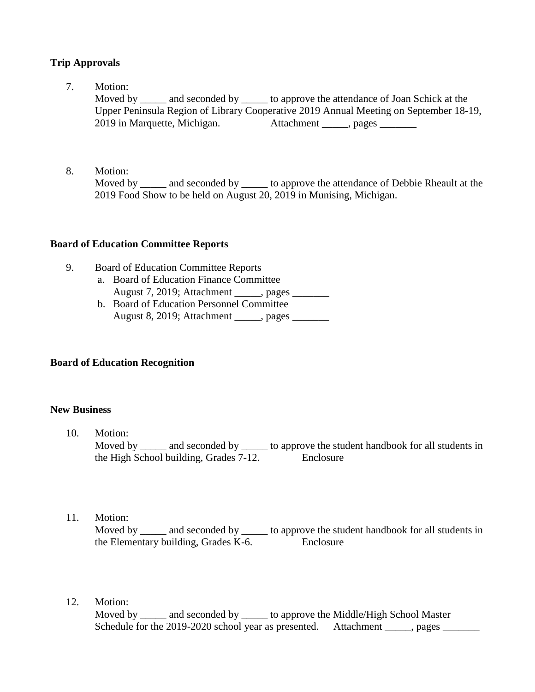# **Trip Approvals**

7. Motion:

Moved by and seconded by to approve the attendance of Joan Schick at the Upper Peninsula Region of Library Cooperative 2019 Annual Meeting on September 18-19, 2019 in Marquette, Michigan. Attachment \_\_\_\_\_, pages \_\_\_\_\_\_\_

8. Motion:

Moved by and seconded by to approve the attendance of Debbie Rheault at the 2019 Food Show to be held on August 20, 2019 in Munising, Michigan.

## **Board of Education Committee Reports**

- 9. Board of Education Committee Reports
	- a. Board of Education Finance Committee August 7, 2019; Attachment \_\_\_\_\_, pages \_\_\_\_\_\_\_
	- b. Board of Education Personnel Committee August 8, 2019; Attachment \_\_\_\_\_, pages \_\_\_\_\_\_\_

# **Board of Education Recognition**

## **New Business**

- 10. Motion: Moved by \_\_\_\_\_ and seconded by \_\_\_\_\_ to approve the student handbook for all students in the High School building, Grades 7-12. Enclosure
- 11. Motion:

Moved by \_\_\_\_\_ and seconded by \_\_\_\_\_ to approve the student handbook for all students in the Elementary building, Grades K-6. Enclosure

12. Motion:

Moved by \_\_\_\_\_ and seconded by \_\_\_\_\_ to approve the Middle/High School Master Schedule for the 2019-2020 school year as presented. Attachment , pages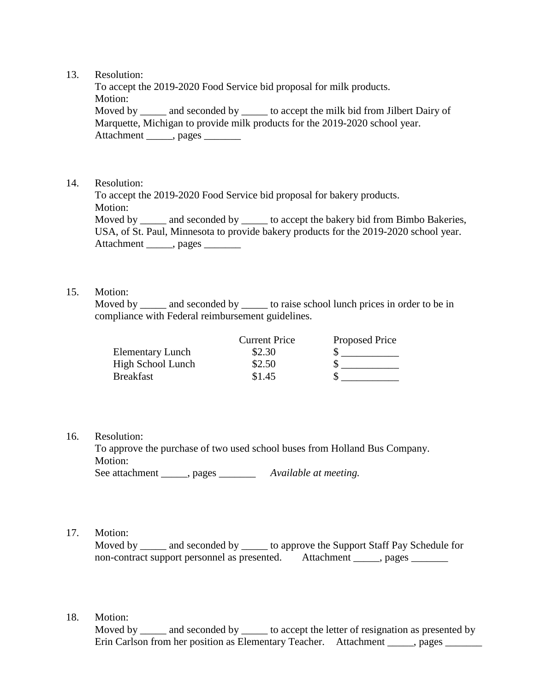### 13. Resolution:

 To accept the 2019-2020 Food Service bid proposal for milk products. Motion: Moved by \_\_\_\_\_\_ and seconded by \_\_\_\_\_\_ to accept the milk bid from Jilbert Dairy of Marquette, Michigan to provide milk products for the 2019-2020 school year. Attachment \_\_\_\_\_, pages \_\_\_\_\_\_\_

### 14. Resolution:

 To accept the 2019-2020 Food Service bid proposal for bakery products. Motion: Moved by \_\_\_\_\_ and seconded by \_\_\_\_\_ to accept the bakery bid from Bimbo Bakeries, USA, of St. Paul, Minnesota to provide bakery products for the 2019-2020 school year. Attachment \_\_\_\_\_, pages \_\_\_\_\_\_\_

### 15. Motion:

Moved by and seconded by to raise school lunch prices in order to be in compliance with Federal reimbursement guidelines.

|                         | <b>Current Price</b> | <b>Proposed Price</b> |
|-------------------------|----------------------|-----------------------|
| <b>Elementary Lunch</b> | \$2.30               |                       |
| High School Lunch       | \$2.50               |                       |
| <b>Breakfast</b>        | \$1.45               |                       |

#### 16. Resolution:

 To approve the purchase of two used school buses from Holland Bus Company. Motion:

See attachment \_\_\_\_\_\_, pages \_\_\_\_\_\_\_\_\_\_ *Available at meeting.* 

17. Motion:

Moved by \_\_\_\_\_ and seconded by \_\_\_\_\_ to approve the Support Staff Pay Schedule for non-contract support personnel as presented. Attachment \_\_\_\_\_, pages \_\_\_\_\_\_\_\_

18. Motion:

Moved by and seconded by to accept the letter of resignation as presented by Erin Carlson from her position as Elementary Teacher. Attachment \_\_\_\_\_, pages \_\_\_\_\_\_\_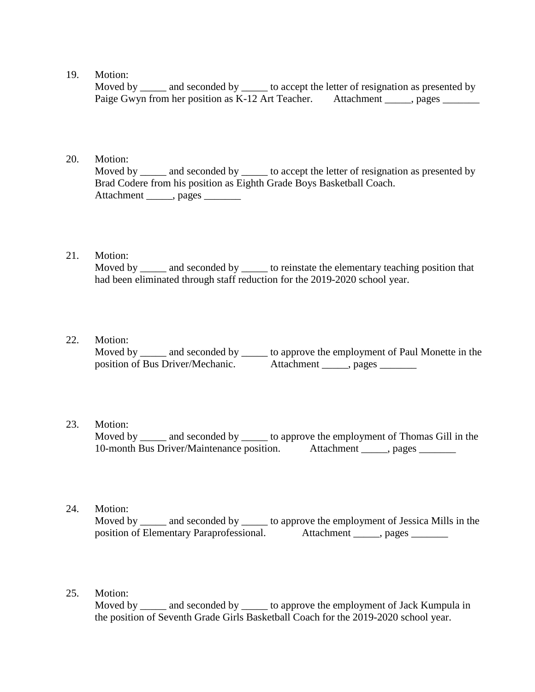### 19. Motion:

Moved by and seconded by to accept the letter of resignation as presented by Paige Gwyn from her position as K-12 Art Teacher. Attachment \_\_\_\_\_, pages \_\_\_\_\_\_\_

## 20. Motion:

Moved by \_\_\_\_\_ and seconded by \_\_\_\_\_ to accept the letter of resignation as presented by Brad Codere from his position as Eighth Grade Boys Basketball Coach. Attachment \_\_\_\_\_\_, pages \_\_\_\_\_\_\_

## 21. Motion:

Moved by \_\_\_\_\_\_ and seconded by \_\_\_\_\_\_ to reinstate the elementary teaching position that had been eliminated through staff reduction for the 2019-2020 school year.

### 22. Motion:

Moved by \_\_\_\_\_ and seconded by \_\_\_\_\_ to approve the employment of Paul Monette in the position of Bus Driver/Mechanic. Attachment \_\_\_\_\_, pages \_\_\_\_\_\_\_

# 23. Motion:

Moved by \_\_\_\_\_ and seconded by \_\_\_\_\_\_ to approve the employment of Thomas Gill in the 10-month Bus Driver/Maintenance position. Attachment , pages

24. Motion:

Moved by \_\_\_\_\_ and seconded by \_\_\_\_\_\_ to approve the employment of Jessica Mills in the position of Elementary Paraprofessional. Attachment \_\_\_\_\_, pages \_\_\_\_\_\_\_

25. Motion:

Moved by \_\_\_\_\_\_ and seconded by \_\_\_\_\_\_ to approve the employment of Jack Kumpula in the position of Seventh Grade Girls Basketball Coach for the 2019-2020 school year.